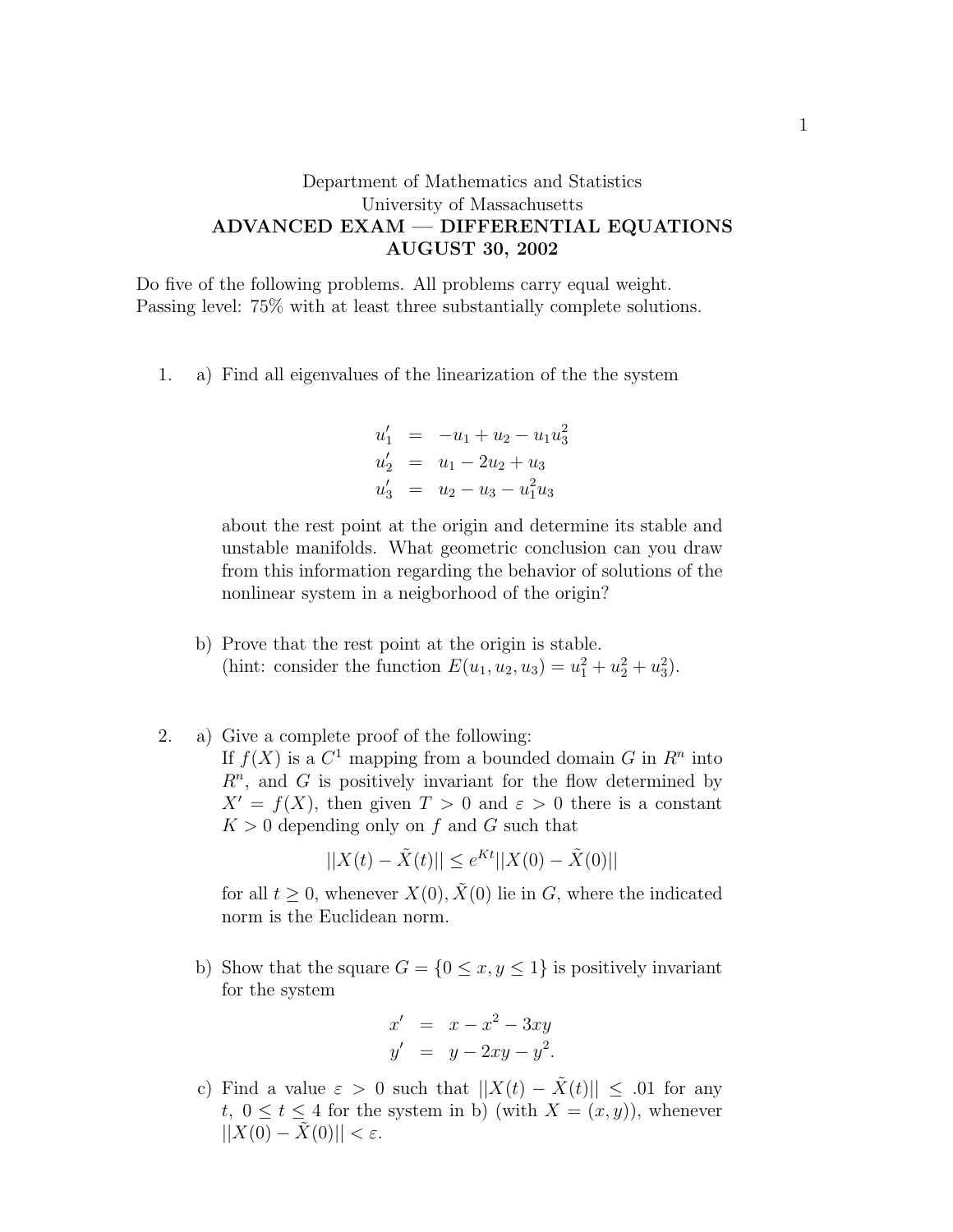## Department of Mathematics and Statistics University of Massachusetts ADVANCED EXAM — DIFFERENTIAL EQUATIONS AUGUST 30, 2002

Do five of the following problems. All problems carry equal weight. Passing level: 75% with at least three substantially complete solutions.

1. a) Find all eigenvalues of the linearization of the the system

$$
u'_1 = -u_1 + u_2 - u_1 u_3^2
$$
  
\n
$$
u'_2 = u_1 - 2u_2 + u_3
$$
  
\n
$$
u'_3 = u_2 - u_3 - u_1^2 u_3
$$

about the rest point at the origin and determine its stable and unstable manifolds. What geometric conclusion can you draw from this information regarding the behavior of solutions of the nonlinear system in a neigborhood of the origin?

- b) Prove that the rest point at the origin is stable. (hint: consider the function  $E(u_1, u_2, u_3) = u_1^2 + u_2^2 + u_3^2$ ).
- 2. a) Give a complete proof of the following: If  $f(X)$  is a  $C^1$  mapping from a bounded domain G in  $R^n$  into  $R<sup>n</sup>$ , and G is positively invariant for the flow determined by  $X' = f(X)$ , then given  $T > 0$  and  $\varepsilon > 0$  there is a constant  $K > 0$  depending only on f and G such that

$$
||X(t) - \tilde{X}(t)|| \le e^{Kt} ||X(0) - \tilde{X}(0)||
$$

for all  $t \geq 0$ , whenever  $X(0), \tilde{X}(0)$  lie in G, where the indicated norm is the Euclidean norm.

b) Show that the square  $G = \{0 \le x, y \le 1\}$  is positively invariant for the system

$$
x' = x - x2 - 3xy
$$
  

$$
y' = y - 2xy - y2.
$$

c) Find a value  $\varepsilon > 0$  such that  $||X(t) - \tilde{X}(t)|| \leq .01$  for any t,  $0 \le t \le 4$  for the system in b) (with  $X = (x, y)$ ), whenever  $||X(0) - \tilde{X}(0)|| < \varepsilon$ .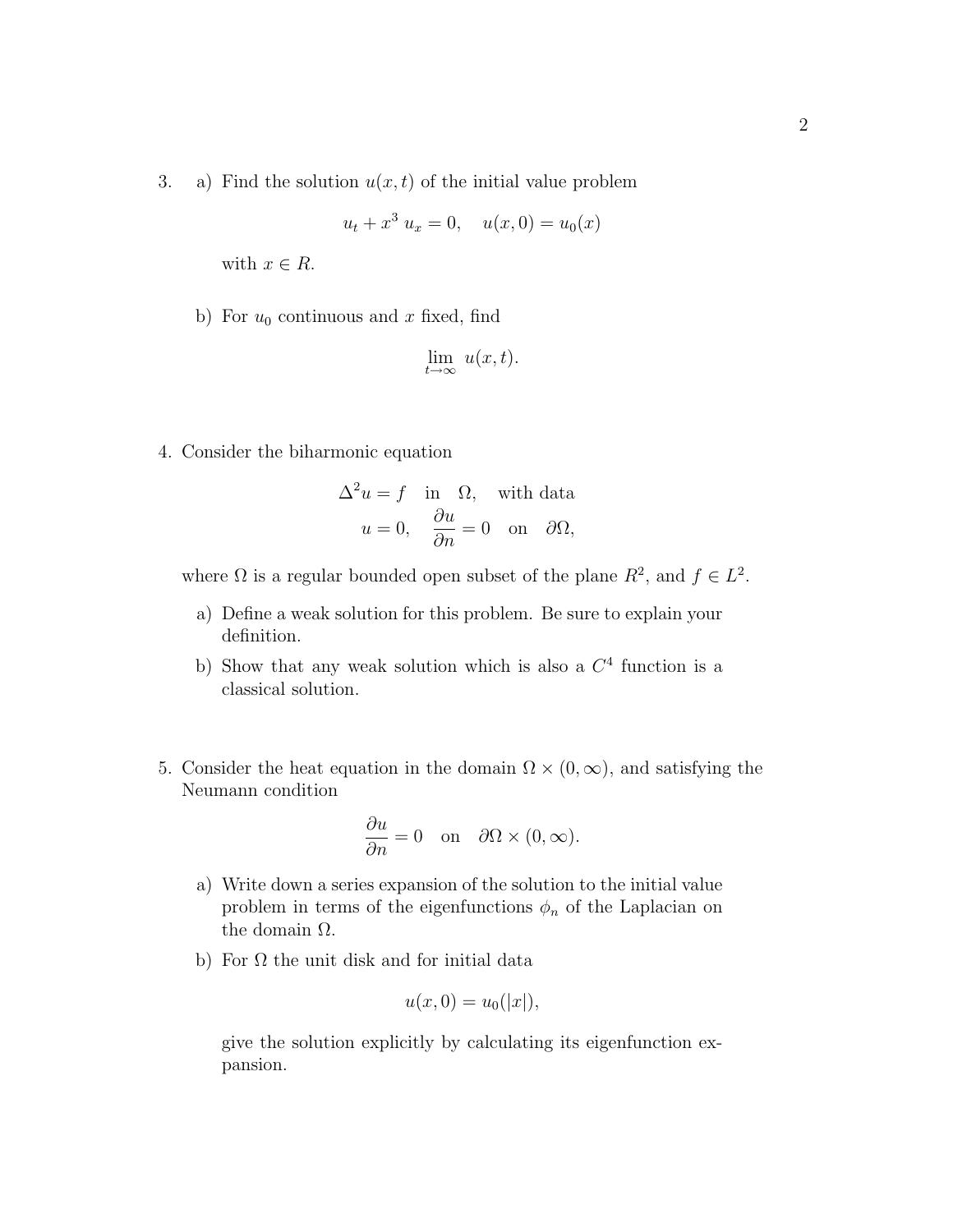3. a) Find the solution  $u(x, t)$  of the initial value problem

$$
u_t + x^3 u_x = 0, \quad u(x,0) = u_0(x)
$$

with  $x \in R$ .

b) For  $u_0$  continuous and x fixed, find

$$
\lim_{t \to \infty} u(x, t).
$$

4. Consider the biharmonic equation

$$
\Delta^2 u = f \quad \text{in} \quad \Omega, \quad \text{with data}
$$

$$
u = 0, \quad \frac{\partial u}{\partial n} = 0 \quad \text{on} \quad \partial \Omega,
$$

where  $\Omega$  is a regular bounded open subset of the plane  $R^2$ , and  $f \in L^2$ .

- a) Define a weak solution for this problem. Be sure to explain your definition.
- b) Show that any weak solution which is also a  $C<sup>4</sup>$  function is a classical solution.
- 5. Consider the heat equation in the domain  $\Omega \times (0,\infty)$ , and satisfying the Neumann condition

$$
\frac{\partial u}{\partial n} = 0 \quad \text{on} \quad \partial\Omega \times (0, \infty).
$$

- a) Write down a series expansion of the solution to the initial value problem in terms of the eigenfunctions  $\phi_n$  of the Laplacian on the domain  $\Omega$ .
- b) For  $\Omega$  the unit disk and for initial data

$$
u(x,0) = u_0(|x|),
$$

give the solution explicitly by calculating its eigenfunction expansion.